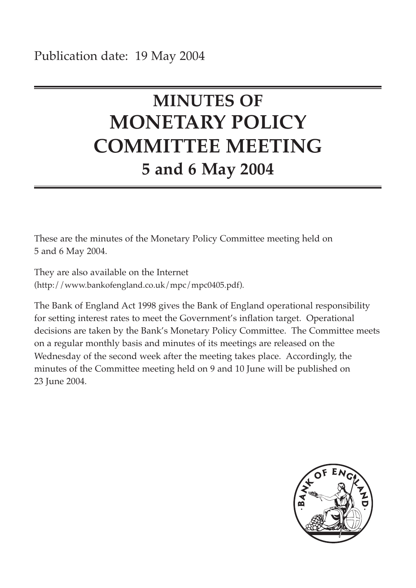# **MINUTES OF MONETARY POLICY COMMITTEE MEETING 5 and 6 May 2004**

These are the minutes of the Monetary Policy Committee meeting held on 5 and 6 May 2004.

They are also available on the Internet (http://www.bankofengland.co.uk/mpc/mpc0405.pdf).

The Bank of England Act 1998 gives the Bank of England operational responsibility for setting interest rates to meet the Government's inflation target. Operational decisions are taken by the Bank's Monetary Policy Committee. The Committee meets on a regular monthly basis and minutes of its meetings are released on the Wednesday of the second week after the meeting takes place. Accordingly, the minutes of the Committee meeting held on 9 and 10 June will be published on 23 June 2004.

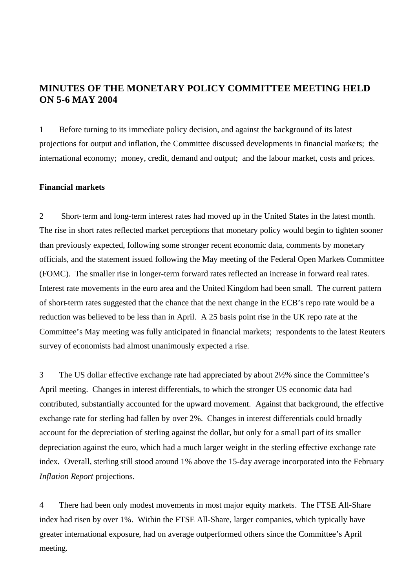# **MINUTES OF THE MONETARY POLICY COMMITTEE MEETING HELD ON 5-6 MAY 2004**

1 Before turning to its immediate policy decision, and against the background of its latest projections for output and inflation, the Committee discussed developments in financial markets; the international economy; money, credit, demand and output; and the labour market, costs and prices.

# **Financial markets**

2 Short-term and long-term interest rates had moved up in the United States in the latest month. The rise in short rates reflected market perceptions that monetary policy would begin to tighten sooner than previously expected, following some stronger recent economic data, comments by monetary officials, and the statement issued following the May meeting of the Federal Open Markets Committee (FOMC). The smaller rise in longer-term forward rates reflected an increase in forward real rates. Interest rate movements in the euro area and the United Kingdom had been small. The current pattern of short-term rates suggested that the chance that the next change in the ECB's repo rate would be a reduction was believed to be less than in April. A 25 basis point rise in the UK repo rate at the Committee's May meeting was fully anticipated in financial markets; respondents to the latest Reuters survey of economists had almost unanimously expected a rise.

3 The US dollar effective exchange rate had appreciated by about 2½% since the Committee's April meeting. Changes in interest differentials, to which the stronger US economic data had contributed, substantially accounted for the upward movement. Against that background, the effective exchange rate for sterling had fallen by over 2%. Changes in interest differentials could broadly account for the depreciation of sterling against the dollar, but only for a small part of its smaller depreciation against the euro, which had a much larger weight in the sterling effective exchange rate index. Overall, sterling still stood around 1% above the 15-day average incorporated into the February *Inflation Report* projections.

4 There had been only modest movements in most major equity markets. The FTSE All-Share index had risen by over 1%. Within the FTSE All-Share, larger companies, which typically have greater international exposure, had on average outperformed others since the Committee's April meeting.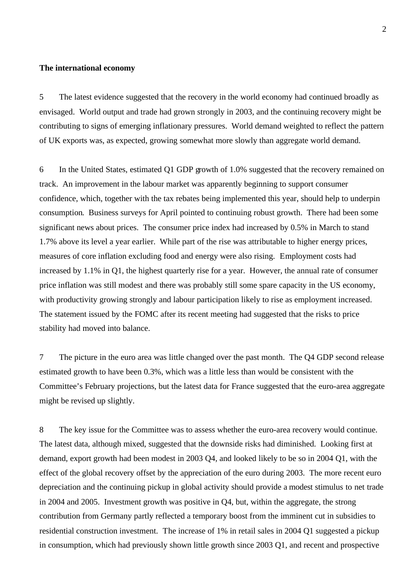## **The international economy**

5 The latest evidence suggested that the recovery in the world economy had continued broadly as envisaged. World output and trade had grown strongly in 2003, and the continuing recovery might be contributing to signs of emerging inflationary pressures. World demand weighted to reflect the pattern of UK exports was, as expected, growing somewhat more slowly than aggregate world demand.

6 In the United States, estimated Q1 GDP growth of 1.0% suggested that the recovery remained on track. An improvement in the labour market was apparently beginning to support consumer confidence, which, together with the tax rebates being implemented this year, should help to underpin consumption. Business surveys for April pointed to continuing robust growth. There had been some significant news about prices. The consumer price index had increased by 0.5% in March to stand 1.7% above its level a year earlier. While part of the rise was attributable to higher energy prices, measures of core inflation excluding food and energy were also rising. Employment costs had increased by 1.1% in Q1, the highest quarterly rise for a year. However, the annual rate of consumer price inflation was still modest and there was probably still some spare capacity in the US economy, with productivity growing strongly and labour participation likely to rise as employment increased. The statement issued by the FOMC after its recent meeting had suggested that the risks to price stability had moved into balance.

7 The picture in the euro area was little changed over the past month. The Q4 GDP second release estimated growth to have been 0.3%, which was a little less than would be consistent with the Committee's February projections, but the latest data for France suggested that the euro-area aggregate might be revised up slightly.

8 The key issue for the Committee was to assess whether the euro-area recovery would continue. The latest data, although mixed, suggested that the downside risks had diminished. Looking first at demand, export growth had been modest in 2003 Q4, and looked likely to be so in 2004 Q1, with the effect of the global recovery offset by the appreciation of the euro during 2003. The more recent euro depreciation and the continuing pickup in global activity should provide a modest stimulus to net trade in 2004 and 2005. Investment growth was positive in Q4, but, within the aggregate, the strong contribution from Germany partly reflected a temporary boost from the imminent cut in subsidies to residential construction investment. The increase of 1% in retail sales in 2004 Q1 suggested a pickup in consumption, which had previously shown little growth since 2003 Q1, and recent and prospective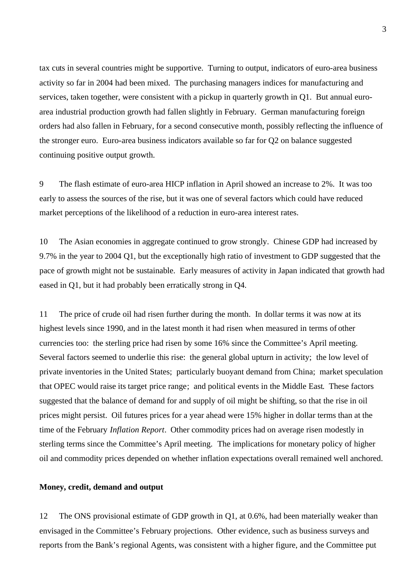tax cuts in several countries might be supportive. Turning to output, indicators of euro-area business activity so far in 2004 had been mixed. The purchasing managers indices for manufacturing and services, taken together, were consistent with a pickup in quarterly growth in Q1. But annual euroarea industrial production growth had fallen slightly in February. German manufacturing foreign orders had also fallen in February, for a second consecutive month, possibly reflecting the influence of the stronger euro. Euro-area business indicators available so far for Q2 on balance suggested continuing positive output growth.

9 The flash estimate of euro-area HICP inflation in April showed an increase to 2%. It was too early to assess the sources of the rise, but it was one of several factors which could have reduced market perceptions of the likelihood of a reduction in euro-area interest rates.

10 The Asian economies in aggregate continued to grow strongly. Chinese GDP had increased by 9.7% in the year to 2004 Q1, but the exceptionally high ratio of investment to GDP suggested that the pace of growth might not be sustainable. Early measures of activity in Japan indicated that growth had eased in Q1, but it had probably been erratically strong in Q4.

11 The price of crude oil had risen further during the month. In dollar terms it was now at its highest levels since 1990, and in the latest month it had risen when measured in terms of other currencies too: the sterling price had risen by some 16% since the Committee's April meeting. Several factors seemed to underlie this rise: the general global upturn in activity; the low level of private inventories in the United States; particularly buoyant demand from China; market speculation that OPEC would raise its target price range; and political events in the Middle East. These factors suggested that the balance of demand for and supply of oil might be shifting, so that the rise in oil prices might persist. Oil futures prices for a year ahead were 15% higher in dollar terms than at the time of the February *Inflation Report*. Other commodity prices had on average risen modestly in sterling terms since the Committee's April meeting. The implications for monetary policy of higher oil and commodity prices depended on whether inflation expectations overall remained well anchored.

## **Money, credit, demand and output**

12 The ONS provisional estimate of GDP growth in Q1, at 0.6%, had been materially weaker than envisaged in the Committee's February projections. Other evidence, such as business surveys and reports from the Bank's regional Agents, was consistent with a higher figure, and the Committee put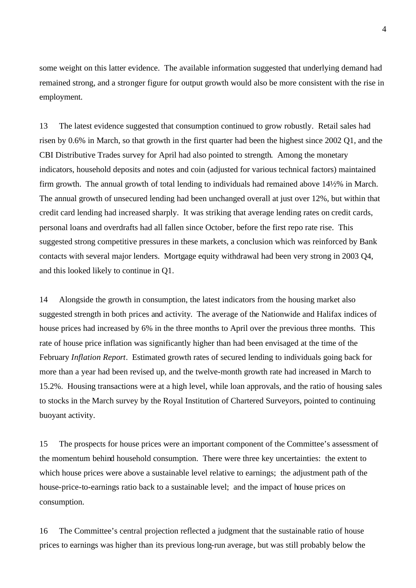some weight on this latter evidence. The available information suggested that underlying demand had remained strong, and a stronger figure for output growth would also be more consistent with the rise in employment.

13 The latest evidence suggested that consumption continued to grow robustly. Retail sales had risen by 0.6% in March, so that growth in the first quarter had been the highest since 2002 Q1, and the CBI Distributive Trades survey for April had also pointed to strength. Among the monetary indicators, household deposits and notes and coin (adjusted for various technical factors) maintained firm growth. The annual growth of total lending to individuals had remained above 14½% in March. The annual growth of unsecured lending had been unchanged overall at just over 12%, but within that credit card lending had increased sharply. It was striking that average lending rates on credit cards, personal loans and overdrafts had all fallen since October, before the first repo rate rise. This suggested strong competitive pressures in these markets, a conclusion which was reinforced by Bank contacts with several major lenders. Mortgage equity withdrawal had been very strong in 2003 Q4, and this looked likely to continue in Q1.

14 Alongside the growth in consumption, the latest indicators from the housing market also suggested strength in both prices and activity. The average of the Nationwide and Halifax indices of house prices had increased by 6% in the three months to April over the previous three months. This rate of house price inflation was significantly higher than had been envisaged at the time of the February *Inflation Report*. Estimated growth rates of secured lending to individuals going back for more than a year had been revised up, and the twelve-month growth rate had increased in March to 15.2%. Housing transactions were at a high level, while loan approvals, and the ratio of housing sales to stocks in the March survey by the Royal Institution of Chartered Surveyors, pointed to continuing buoyant activity.

15 The prospects for house prices were an important component of the Committee's assessment of the momentum behind household consumption. There were three key uncertainties: the extent to which house prices were above a sustainable level relative to earnings; the adjustment path of the house-price-to-earnings ratio back to a sustainable level; and the impact of house prices on consumption.

16 The Committee's central projection reflected a judgment that the sustainable ratio of house prices to earnings was higher than its previous long-run average, but was still probably below the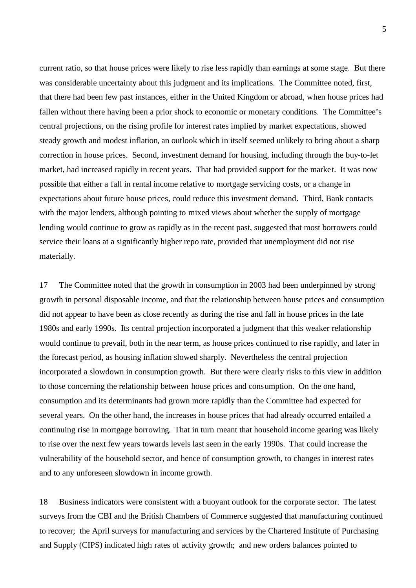current ratio, so that house prices were likely to rise less rapidly than earnings at some stage. But there was considerable uncertainty about this judgment and its implications. The Committee noted, first, that there had been few past instances, either in the United Kingdom or abroad, when house prices had fallen without there having been a prior shock to economic or monetary conditions. The Committee's central projections, on the rising profile for interest rates implied by market expectations, showed steady growth and modest inflation, an outlook which in itself seemed unlikely to bring about a sharp correction in house prices. Second, investment demand for housing, including through the buy-to-let market, had increased rapidly in recent years. That had provided support for the market. It was now possible that either a fall in rental income relative to mortgage servicing costs, or a change in expectations about future house prices, could reduce this investment demand. Third, Bank contacts with the major lenders, although pointing to mixed views about whether the supply of mortgage lending would continue to grow as rapidly as in the recent past, suggested that most borrowers could service their loans at a significantly higher repo rate, provided that unemployment did not rise materially.

17 The Committee noted that the growth in consumption in 2003 had been underpinned by strong growth in personal disposable income, and that the relationship between house prices and consumption did not appear to have been as close recently as during the rise and fall in house prices in the late 1980s and early 1990s. Its central projection incorporated a judgment that this weaker relationship would continue to prevail, both in the near term, as house prices continued to rise rapidly, and later in the forecast period, as housing inflation slowed sharply. Nevertheless the central projection incorporated a slowdown in consumption growth. But there were clearly risks to this view in addition to those concerning the relationship between house prices and consumption. On the one hand, consumption and its determinants had grown more rapidly than the Committee had expected for several years. On the other hand, the increases in house prices that had already occurred entailed a continuing rise in mortgage borrowing. That in turn meant that household income gearing was likely to rise over the next few years towards levels last seen in the early 1990s. That could increase the vulnerability of the household sector, and hence of consumption growth, to changes in interest rates and to any unforeseen slowdown in income growth.

18 Business indicators were consistent with a buoyant outlook for the corporate sector. The latest surveys from the CBI and the British Chambers of Commerce suggested that manufacturing continued to recover; the April surveys for manufacturing and services by the Chartered Institute of Purchasing and Supply (CIPS) indicated high rates of activity growth; and new orders balances pointed to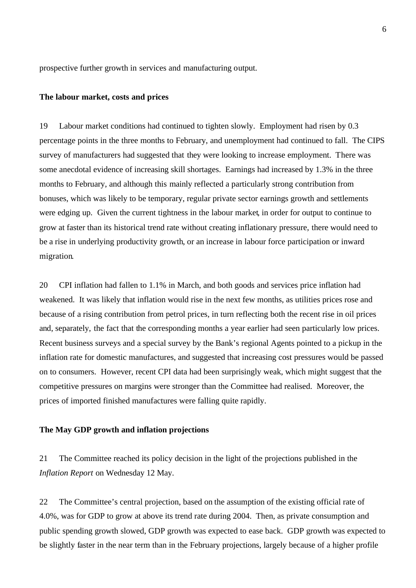prospective further growth in services and manufacturing output.

## **The labour market, costs and prices**

19 Labour market conditions had continued to tighten slowly. Employment had risen by 0.3 percentage points in the three months to February, and unemployment had continued to fall. The CIPS survey of manufacturers had suggested that they were looking to increase employment. There was some anecdotal evidence of increasing skill shortages. Earnings had increased by 1.3% in the three months to February, and although this mainly reflected a particularly strong contribution from bonuses, which was likely to be temporary, regular private sector earnings growth and settlements were edging up. Given the current tightness in the labour market, in order for output to continue to grow at faster than its historical trend rate without creating inflationary pressure, there would need to be a rise in underlying productivity growth, or an increase in labour force participation or inward migration.

20 CPI inflation had fallen to 1.1% in March, and both goods and services price inflation had weakened. It was likely that inflation would rise in the next few months, as utilities prices rose and because of a rising contribution from petrol prices, in turn reflecting both the recent rise in oil prices and, separately, the fact that the corresponding months a year earlier had seen particularly low prices. Recent business surveys and a special survey by the Bank's regional Agents pointed to a pickup in the inflation rate for domestic manufactures, and suggested that increasing cost pressures would be passed on to consumers. However, recent CPI data had been surprisingly weak, which might suggest that the competitive pressures on margins were stronger than the Committee had realised. Moreover, the prices of imported finished manufactures were falling quite rapidly.

## **The May GDP growth and inflation projections**

21 The Committee reached its policy decision in the light of the projections published in the *Inflation Report* on Wednesday 12 May.

22 The Committee's central projection, based on the assumption of the existing official rate of 4.0%, was for GDP to grow at above its trend rate during 2004. Then, as private consumption and public spending growth slowed, GDP growth was expected to ease back. GDP growth was expected to be slightly faster in the near term than in the February projections, largely because of a higher profile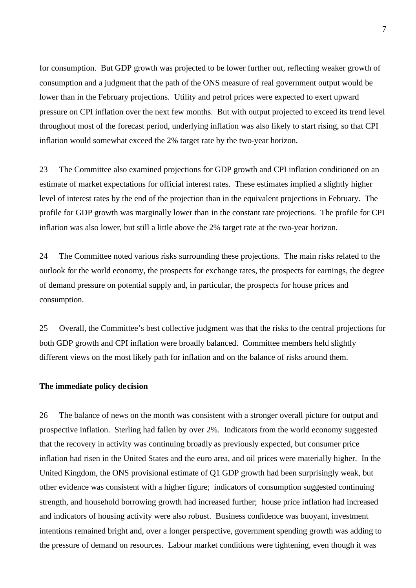for consumption. But GDP growth was projected to be lower further out, reflecting weaker growth of consumption and a judgment that the path of the ONS measure of real government output would be lower than in the February projections. Utility and petrol prices were expected to exert upward pressure on CPI inflation over the next few months. But with output projected to exceed its trend level throughout most of the forecast period, underlying inflation was also likely to start rising, so that CPI inflation would somewhat exceed the 2% target rate by the two-year horizon.

23 The Committee also examined projections for GDP growth and CPI inflation conditioned on an estimate of market expectations for official interest rates. These estimates implied a slightly higher level of interest rates by the end of the projection than in the equivalent projections in February. The profile for GDP growth was marginally lower than in the constant rate projections. The profile for CPI inflation was also lower, but still a little above the 2% target rate at the two-year horizon.

24 The Committee noted various risks surrounding these projections. The main risks related to the outlook for the world economy, the prospects for exchange rates, the prospects for earnings, the degree of demand pressure on potential supply and, in particular, the prospects for house prices and consumption.

25 Overall, the Committee's best collective judgment was that the risks to the central projections for both GDP growth and CPI inflation were broadly balanced. Committee members held slightly different views on the most likely path for inflation and on the balance of risks around them.

## **The immediate policy decision**

26 The balance of news on the month was consistent with a stronger overall picture for output and prospective inflation. Sterling had fallen by over 2%. Indicators from the world economy suggested that the recovery in activity was continuing broadly as previously expected, but consumer price inflation had risen in the United States and the euro area, and oil prices were materially higher. In the United Kingdom, the ONS provisional estimate of Q1 GDP growth had been surprisingly weak, but other evidence was consistent with a higher figure; indicators of consumption suggested continuing strength, and household borrowing growth had increased further; house price inflation had increased and indicators of housing activity were also robust. Business confidence was buoyant, investment intentions remained bright and, over a longer perspective, government spending growth was adding to the pressure of demand on resources. Labour market conditions were tightening, even though it was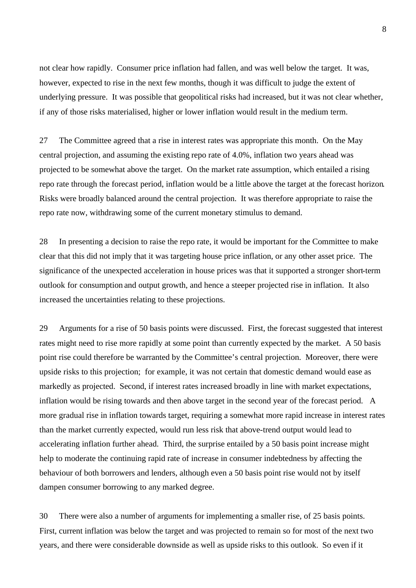not clear how rapidly. Consumer price inflation had fallen, and was well below the target. It was, however, expected to rise in the next few months, though it was difficult to judge the extent of underlying pressure. It was possible that geopolitical risks had increased, but it was not clear whether, if any of those risks materialised, higher or lower inflation would result in the medium term.

27 The Committee agreed that a rise in interest rates was appropriate this month. On the May central projection, and assuming the existing repo rate of 4.0%, inflation two years ahead was projected to be somewhat above the target. On the market rate assumption, which entailed a rising repo rate through the forecast period, inflation would be a little above the target at the forecast horizon. Risks were broadly balanced around the central projection. It was therefore appropriate to raise the repo rate now, withdrawing some of the current monetary stimulus to demand.

28 In presenting a decision to raise the repo rate, it would be important for the Committee to make clear that this did not imply that it was targeting house price inflation, or any other asset price. The significance of the unexpected acceleration in house prices was that it supported a stronger short-term outlook for consumption and output growth, and hence a steeper projected rise in inflation. It also increased the uncertainties relating to these projections.

29 Arguments for a rise of 50 basis points were discussed. First, the forecast suggested that interest rates might need to rise more rapidly at some point than currently expected by the market. A 50 basis point rise could therefore be warranted by the Committee's central projection. Moreover, there were upside risks to this projection; for example, it was not certain that domestic demand would ease as markedly as projected. Second, if interest rates increased broadly in line with market expectations, inflation would be rising towards and then above target in the second year of the forecast period. A more gradual rise in inflation towards target, requiring a somewhat more rapid increase in interest rates than the market currently expected, would run less risk that above-trend output would lead to accelerating inflation further ahead. Third, the surprise entailed by a 50 basis point increase might help to moderate the continuing rapid rate of increase in consumer indebtedness by affecting the behaviour of both borrowers and lenders, although even a 50 basis point rise would not by itself dampen consumer borrowing to any marked degree.

30 There were also a number of arguments for implementing a smaller rise, of 25 basis points. First, current inflation was below the target and was projected to remain so for most of the next two years, and there were considerable downside as well as upside risks to this outlook. So even if it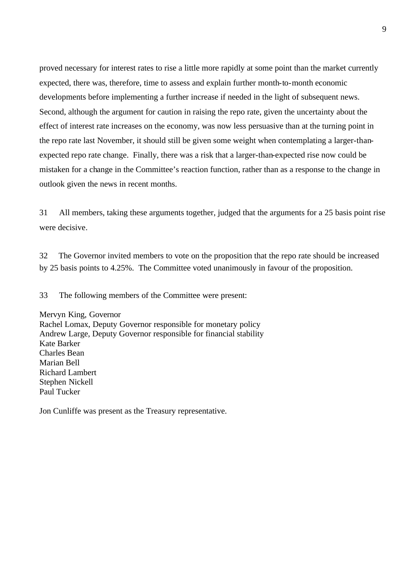proved necessary for interest rates to rise a little more rapidly at some point than the market currently expected, there was, therefore, time to assess and explain further month-to-month economic developments before implementing a further increase if needed in the light of subsequent news. Second, although the argument for caution in raising the repo rate, given the uncertainty about the effect of interest rate increases on the economy, was now less persuasive than at the turning point in the repo rate last November, it should still be given some weight when contemplating a larger-thanexpected repo rate change. Finally, there was a risk that a larger-than-expected rise now could be mistaken for a change in the Committee's reaction function, rather than as a response to the change in outlook given the news in recent months.

31 All members, taking these arguments together, judged that the arguments for a 25 basis point rise were decisive.

32 The Governor invited members to vote on the proposition that the repo rate should be increased by 25 basis points to 4.25%. The Committee voted unanimously in favour of the proposition.

33 The following members of the Committee were present:

Mervyn King, Governor Rachel Lomax, Deputy Governor responsible for monetary policy Andrew Large, Deputy Governor responsible for financial stability Kate Barker Charles Bean Marian Bell Richard Lambert Stephen Nickell Paul Tucker

Jon Cunliffe was present as the Treasury representative.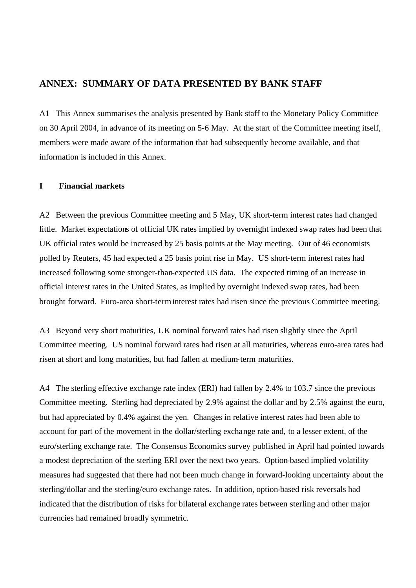# **ANNEX: SUMMARY OF DATA PRESENTED BY BANK STAFF**

A1 This Annex summarises the analysis presented by Bank staff to the Monetary Policy Committee on 30 April 2004, in advance of its meeting on 5-6 May. At the start of the Committee meeting itself, members were made aware of the information that had subsequently become available, and that information is included in this Annex.

## **I Financial markets**

A2 Between the previous Committee meeting and 5 May, UK short-term interest rates had changed little. Market expectations of official UK rates implied by overnight indexed swap rates had been that UK official rates would be increased by 25 basis points at the May meeting. Out of 46 economists polled by Reuters, 45 had expected a 25 basis point rise in May. US short-term interest rates had increased following some stronger-than-expected US data. The expected timing of an increase in official interest rates in the United States, as implied by overnight indexed swap rates, had been brought forward. Euro-area short-terminterest rates had risen since the previous Committee meeting.

A3 Beyond very short maturities, UK nominal forward rates had risen slightly since the April Committee meeting. US nominal forward rates had risen at all maturities, whereas euro-area rates had risen at short and long maturities, but had fallen at medium-term maturities.

A4 The sterling effective exchange rate index (ERI) had fallen by 2.4% to 103.7 since the previous Committee meeting. Sterling had depreciated by 2.9% against the dollar and by 2.5% against the euro, but had appreciated by 0.4% against the yen. Changes in relative interest rates had been able to account for part of the movement in the dollar/sterling exchange rate and, to a lesser extent, of the euro/sterling exchange rate. The Consensus Economics survey published in April had pointed towards a modest depreciation of the sterling ERI over the next two years. Option-based implied volatility measures had suggested that there had not been much change in forward-looking uncertainty about the sterling/dollar and the sterling/euro exchange rates. In addition, option-based risk reversals had indicated that the distribution of risks for bilateral exchange rates between sterling and other major currencies had remained broadly symmetric.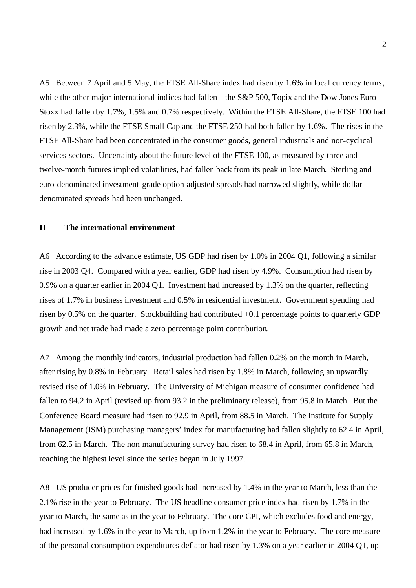A5 Between 7 April and 5 May, the FTSE All-Share index had risen by 1.6% in local currency terms, while the other major international indices had fallen – the S&P 500, Topix and the Dow Jones Euro Stoxx had fallen by 1.7%, 1.5% and 0.7% respectively. Within the FTSE All-Share, the FTSE 100 had risen by 2.3%, while the FTSE Small Cap and the FTSE 250 had both fallen by 1.6%. The rises in the FTSE All-Share had been concentrated in the consumer goods, general industrials and non-cyclical services sectors. Uncertainty about the future level of the FTSE 100, as measured by three and twelve-month futures implied volatilities, had fallen back from its peak in late March. Sterling and euro-denominated investment-grade option-adjusted spreads had narrowed slightly, while dollardenominated spreads had been unchanged.

# **II The international environment**

A6 According to the advance estimate, US GDP had risen by 1.0% in 2004 Q1, following a similar rise in 2003 Q4. Compared with a year earlier, GDP had risen by 4.9%. Consumption had risen by 0.9% on a quarter earlier in 2004 Q1. Investment had increased by 1.3% on the quarter, reflecting rises of 1.7% in business investment and 0.5% in residential investment. Government spending had risen by 0.5% on the quarter. Stockbuilding had contributed +0.1 percentage points to quarterly GDP growth and net trade had made a zero percentage point contribution.

A7 Among the monthly indicators, industrial production had fallen 0.2% on the month in March, after rising by 0.8% in February. Retail sales had risen by 1.8% in March, following an upwardly revised rise of 1.0% in February. The University of Michigan measure of consumer confidence had fallen to 94.2 in April (revised up from 93.2 in the preliminary release), from 95.8 in March. But the Conference Board measure had risen to 92.9 in April, from 88.5 in March. The Institute for Supply Management (ISM) purchasing managers' index for manufacturing had fallen slightly to 62.4 in April, from 62.5 in March. The non-manufacturing survey had risen to 68.4 in April, from 65.8 in March, reaching the highest level since the series began in July 1997.

A8 US producer prices for finished goods had increased by 1.4% in the year to March, less than the 2.1% rise in the year to February. The US headline consumer price index had risen by 1.7% in the year to March, the same as in the year to February. The core CPI, which excludes food and energy, had increased by 1.6% in the year to March, up from 1.2% in the year to February. The core measure of the personal consumption expenditures deflator had risen by 1.3% on a year earlier in 2004 Q1, up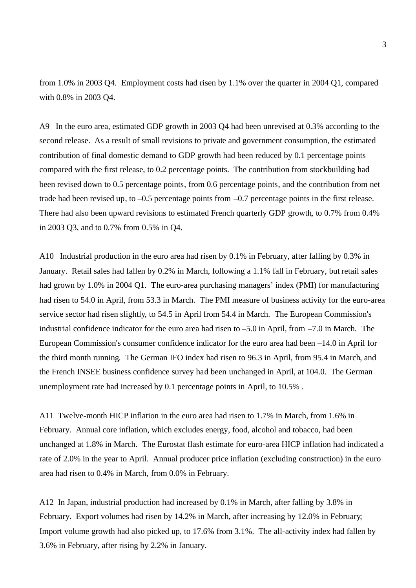from 1.0% in 2003 Q4. Employment costs had risen by 1.1% over the quarter in 2004 Q1, compared with 0.8% in 2003 Q4.

A9 In the euro area, estimated GDP growth in 2003 Q4 had been unrevised at 0.3% according to the second release. As a result of small revisions to private and government consumption, the estimated contribution of final domestic demand to GDP growth had been reduced by 0.1 percentage points compared with the first release, to 0.2 percentage points. The contribution from stockbuilding had been revised down to 0.5 percentage points, from 0.6 percentage points, and the contribution from net trade had been revised up, to –0.5 percentage points from –0.7 percentage points in the first release. There had also been upward revisions to estimated French quarterly GDP growth, to 0.7% from 0.4% in 2003 Q3, and to 0.7% from 0.5% in Q4.

A10 Industrial production in the euro area had risen by 0.1% in February, after falling by 0.3% in January. Retail sales had fallen by 0.2% in March, following a 1.1% fall in February, but retail sales had grown by 1.0% in 2004 Q1. The euro-area purchasing managers' index (PMI) for manufacturing had risen to 54.0 in April, from 53.3 in March. The PMI measure of business activity for the euro-area service sector had risen slightly, to 54.5 in April from 54.4 in March. The European Commission's industrial confidence indicator for the euro area had risen to –5.0 in April, from –7.0 in March. The European Commission's consumer confidence indicator for the euro area had been –14.0 in April for the third month running. The German IFO index had risen to 96.3 in April, from 95.4 in March, and the French INSEE business confidence survey had been unchanged in April, at 104.0. The German unemployment rate had increased by 0.1 percentage points in April, to 10.5% .

A11 Twelve-month HICP inflation in the euro area had risen to 1.7% in March, from 1.6% in February. Annual core inflation, which excludes energy, food, alcohol and tobacco, had been unchanged at 1.8% in March. The Eurostat flash estimate for euro-area HICP inflation had indicated a rate of 2.0% in the year to April. Annual producer price inflation (excluding construction) in the euro area had risen to 0.4% in March, from 0.0% in February.

A12 In Japan, industrial production had increased by 0.1% in March, after falling by 3.8% in February. Export volumes had risen by 14.2% in March, after increasing by 12.0% in February; Import volume growth had also picked up, to 17.6% from 3.1%. The all-activity index had fallen by 3.6% in February, after rising by 2.2% in January.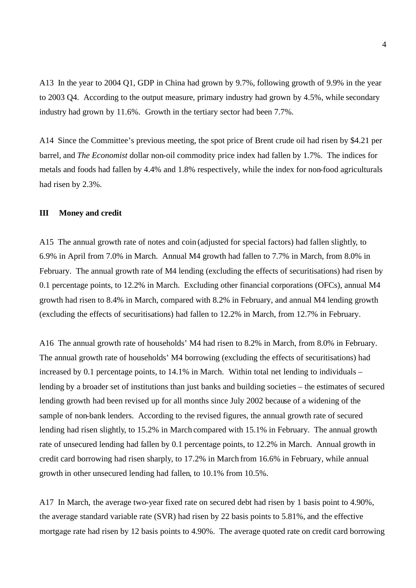A13 In the year to 2004 Q1, GDP in China had grown by 9.7%, following growth of 9.9% in the year to 2003 Q4. According to the output measure, primary industry had grown by 4.5%, while secondary industry had grown by 11.6%. Growth in the tertiary sector had been 7.7%.

A14 Since the Committee's previous meeting, the spot price of Brent crude oil had risen by \$4.21 per barrel, and *The Economist* dollar non-oil commodity price index had fallen by 1.7%. The indices for metals and foods had fallen by 4.4% and 1.8% respectively, while the index for non-food agriculturals had risen by 2.3%.

## **III Money and credit**

A15 The annual growth rate of notes and coin (adjusted for special factors) had fallen slightly, to 6.9% in April from 7.0% in March. Annual M4 growth had fallen to 7.7% in March, from 8.0% in February. The annual growth rate of M4 lending (excluding the effects of securitisations) had risen by 0.1 percentage points, to 12.2% in March. Excluding other financial corporations (OFCs), annual M4 growth had risen to 8.4% in March, compared with 8.2% in February, and annual M4 lending growth (excluding the effects of securitisations) had fallen to 12.2% in March, from 12.7% in February.

A16 The annual growth rate of households' M4 had risen to 8.2% in March, from 8.0% in February. The annual growth rate of households' M4 borrowing (excluding the effects of securitisations) had increased by 0.1 percentage points, to 14.1% in March. Within total net lending to individuals – lending by a broader set of institutions than just banks and building societies – the estimates of secured lending growth had been revised up for all months since July 2002 because of a widening of the sample of non-bank lenders. According to the revised figures, the annual growth rate of secured lending had risen slightly, to 15.2% in March compared with 15.1% in February. The annual growth rate of unsecured lending had fallen by 0.1 percentage points, to 12.2% in March. Annual growth in credit card borrowing had risen sharply, to 17.2% in March from 16.6% in February, while annual growth in other unsecured lending had fallen, to 10.1% from 10.5%.

A17 In March, the average two-year fixed rate on secured debt had risen by 1 basis point to 4.90%, the average standard variable rate (SVR) had risen by 22 basis points to 5.81%, and the effective mortgage rate had risen by 12 basis points to 4.90%. The average quoted rate on credit card borrowing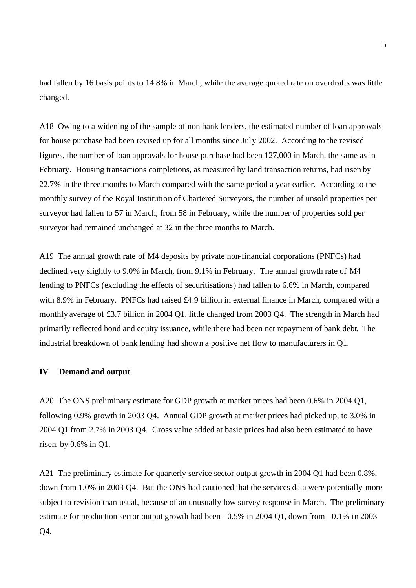had fallen by 16 basis points to 14.8% in March, while the average quoted rate on overdrafts was little changed.

A18 Owing to a widening of the sample of non-bank lenders, the estimated number of loan approvals for house purchase had been revised up for all months since July 2002. According to the revised figures, the number of loan approvals for house purchase had been 127,000 in March, the same as in February. Housing transactions completions, as measured by land transaction returns, had risen by 22.7% in the three months to March compared with the same period a year earlier. According to the monthly survey of the Royal Institution of Chartered Surveyors, the number of unsold properties per surveyor had fallen to 57 in March, from 58 in February, while the number of properties sold per surveyor had remained unchanged at 32 in the three months to March.

A19 The annual growth rate of M4 deposits by private non-financial corporations (PNFCs) had declined very slightly to 9.0% in March, from 9.1% in February. The annual growth rate of M4 lending to PNFCs (excluding the effects of securitisations) had fallen to 6.6% in March, compared with 8.9% in February. PNFCs had raised £4.9 billion in external finance in March, compared with a monthly average of £3.7 billion in 2004 Q1, little changed from 2003 Q4. The strength in March had primarily reflected bond and equity issuance, while there had been net repayment of bank debt. The industrial breakdown of bank lending had shown a positive net flow to manufacturers in Q1.

## **IV Demand and output**

A20 The ONS preliminary estimate for GDP growth at market prices had been 0.6% in 2004 Q1, following 0.9% growth in 2003 Q4. Annual GDP growth at market prices had picked up, to 3.0% in 2004 Q1 from 2.7% in 2003 Q4. Gross value added at basic prices had also been estimated to have risen, by 0.6% in Q1.

A21 The preliminary estimate for quarterly service sector output growth in 2004 Q1 had been 0.8%, down from 1.0% in 2003 Q4. But the ONS had cautioned that the services data were potentially more subject to revision than usual, because of an unusually low survey response in March. The preliminary estimate for production sector output growth had been –0.5% in 2004 Q1, down from –0.1% in 2003 Q4.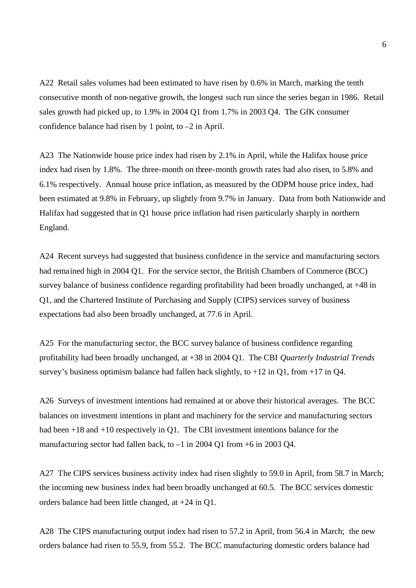A22 Retail sales volumes had been estimated to have risen by 0.6% in March, marking the tenth consecutive month of non-negative growth, the longest such run since the series began in 1986. Retail sales growth had picked up, to 1.9% in 2004 Q1 from 1.7% in 2003 Q4. The GfK consumer confidence balance had risen by 1 point, to –2 in April.

A23 The Nationwide house price index had risen by 2.1% in April, while the Halifax house price index had risen by 1.8%. The three-month on three-month growth rates had also risen, to 5.8% and 6.1% respectively. Annual house price inflation, as measured by the ODPM house price index, had been estimated at 9.8% in February, up slightly from 9.7% in January. Data from both Nationwide and Halifax had suggested that in Q1 house price inflation had risen particularly sharply in northern England.

A24 Recent surveys had suggested that business confidence in the service and manufacturing sectors had remained high in 2004 Q1. For the service sector, the British Chambers of Commerce (BCC) survey balance of business confidence regarding profitability had been broadly unchanged, at +48 in Q1, and the Chartered Institute of Purchasing and Supply (CIPS) services survey of business expectations had also been broadly unchanged, at 77.6 in April.

A25 For the manufacturing sector, the BCC survey balance of business confidence regarding profitability had been broadly unchanged, at +38 in 2004 Q1. The CBI *Quarterly Industrial Trends* survey's business optimism balance had fallen back slightly, to  $+12$  in Q1, from  $+17$  in Q4.

A26 Surveys of investment intentions had remained at or above their historical averages. The BCC balances on investment intentions in plant and machinery for the service and manufacturing sectors had been +18 and +10 respectively in Q1. The CBI investment intentions balance for the manufacturing sector had fallen back, to –1 in 2004 Q1 from +6 in 2003 Q4.

A27 The CIPS services business activity index had risen slightly to 59.0 in April, from 58.7 in March; the incoming new business index had been broadly unchanged at 60.5. The BCC services domestic orders balance had been little changed, at +24 in Q1.

A28 The CIPS manufacturing output index had risen to 57.2 in April, from 56.4 in March; the new orders balance had risen to 55.9, from 55.2. The BCC manufacturing domestic orders balance had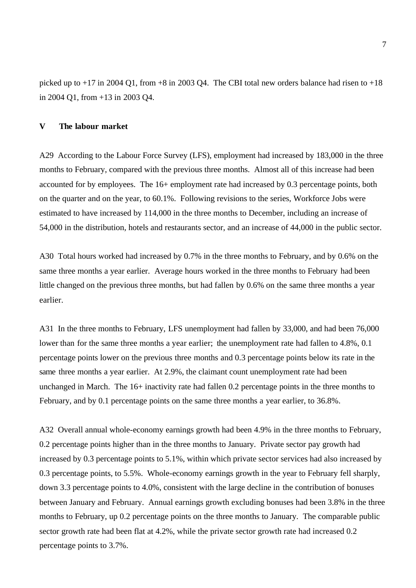picked up to  $+17$  in 2004 Q1, from  $+8$  in 2003 Q4. The CBI total new orders balance had risen to  $+18$ in 2004 Q1, from +13 in 2003 Q4.

# **V The labour market**

A29 According to the Labour Force Survey (LFS), employment had increased by 183,000 in the three months to February, compared with the previous three months. Almost all of this increase had been accounted for by employees. The 16+ employment rate had increased by 0.3 percentage points, both on the quarter and on the year, to 60.1%. Following revisions to the series, Workforce Jobs were estimated to have increased by 114,000 in the three months to December, including an increase of 54,000 in the distribution, hotels and restaurants sector, and an increase of 44,000 in the public sector.

A30 Total hours worked had increased by 0.7% in the three months to February, and by 0.6% on the same three months a year earlier. Average hours worked in the three months to February had been little changed on the previous three months, but had fallen by 0.6% on the same three months a year earlier.

A31 In the three months to February, LFS unemployment had fallen by 33,000, and had been 76,000 lower than for the same three months a year earlier; the unemployment rate had fallen to 4.8%, 0.1 percentage points lower on the previous three months and 0.3 percentage points below its rate in the same three months a year earlier. At 2.9%, the claimant count unemployment rate had been unchanged in March. The 16+ inactivity rate had fallen 0.2 percentage points in the three months to February, and by 0.1 percentage points on the same three months a year earlier, to 36.8%.

A32 Overall annual whole-economy earnings growth had been 4.9% in the three months to February, 0.2 percentage points higher than in the three months to January. Private sector pay growth had increased by 0.3 percentage points to 5.1%, within which private sector services had also increased by 0.3 percentage points, to 5.5%. Whole-economy earnings growth in the year to February fell sharply, down 3.3 percentage points to 4.0%, consistent with the large decline in the contribution of bonuses between January and February. Annual earnings growth excluding bonuses had been 3.8% in the three months to February, up 0.2 percentage points on the three months to January. The comparable public sector growth rate had been flat at 4.2%, while the private sector growth rate had increased 0.2 percentage points to 3.7%.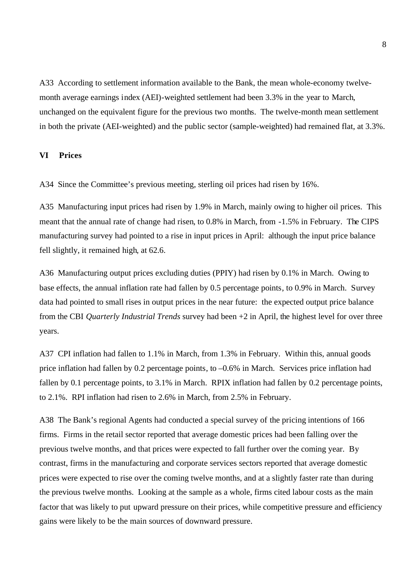A33 According to settlement information available to the Bank, the mean whole-economy twelvemonth average earnings index (AEI)-weighted settlement had been 3.3% in the year to March, unchanged on the equivalent figure for the previous two months. The twelve-month mean settlement in both the private (AEI-weighted) and the public sector (sample-weighted) had remained flat, at 3.3%.

## **VI Prices**

A34 Since the Committee's previous meeting, sterling oil prices had risen by 16%.

A35 Manufacturing input prices had risen by 1.9% in March, mainly owing to higher oil prices. This meant that the annual rate of change had risen, to 0.8% in March, from -1.5% in February. The CIPS manufacturing survey had pointed to a rise in input prices in April: although the input price balance fell slightly, it remained high, at 62.6.

A36 Manufacturing output prices excluding duties (PPIY) had risen by 0.1% in March. Owing to base effects, the annual inflation rate had fallen by 0.5 percentage points, to 0.9% in March. Survey data had pointed to small rises in output prices in the near future: the expected output price balance from the CBI *Quarterly Industrial Trends* survey had been +2 in April, the highest level for over three years.

A37 CPI inflation had fallen to 1.1% in March, from 1.3% in February. Within this, annual goods price inflation had fallen by 0.2 percentage points, to –0.6% in March. Services price inflation had fallen by 0.1 percentage points, to 3.1% in March. RPIX inflation had fallen by 0.2 percentage points, to 2.1%. RPI inflation had risen to 2.6% in March, from 2.5% in February.

A38 The Bank's regional Agents had conducted a special survey of the pricing intentions of 166 firms. Firms in the retail sector reported that average domestic prices had been falling over the previous twelve months, and that prices were expected to fall further over the coming year. By contrast, firms in the manufacturing and corporate services sectors reported that average domestic prices were expected to rise over the coming twelve months, and at a slightly faster rate than during the previous twelve months. Looking at the sample as a whole, firms cited labour costs as the main factor that was likely to put upward pressure on their prices, while competitive pressure and efficiency gains were likely to be the main sources of downward pressure.